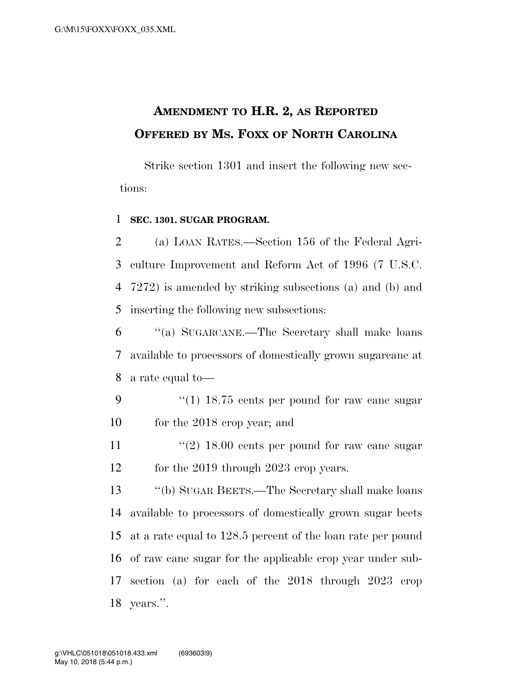# **AMENDMENT TO H.R. 2, AS REPORTED OFFERED BY MS. FOXX OF NORTH CAROLINA**

Strike section 1301 and insert the following new sections:

#### 1 **SEC. 1301. SUGAR PROGRAM.**

 (a) LOAN RATES.—Section 156 of the Federal Agri- culture Improvement and Reform Act of 1996 (7 U.S.C. 7272) is amended by striking subsections (a) and (b) and inserting the following new subsections:

6 ''(a) SUGARCANE.—The Secretary shall make loans 7 available to processors of domestically grown sugarcane at 8 a rate equal to—

- 9 "(1) 18.75 cents per pound for raw cane sugar 10 for the 2018 crop year; and
- 11  $\frac{u(2)}{2}$  18.00 cents per pound for raw cane sugar 12 for the 2019 through 2023 crop years.

 ''(b) SUGAR BEETS.—The Secretary shall make loans available to processors of domestically grown sugar beets at a rate equal to 128.5 percent of the loan rate per pound of raw cane sugar for the applicable crop year under sub- section (a) for each of the 2018 through 2023 crop years.''.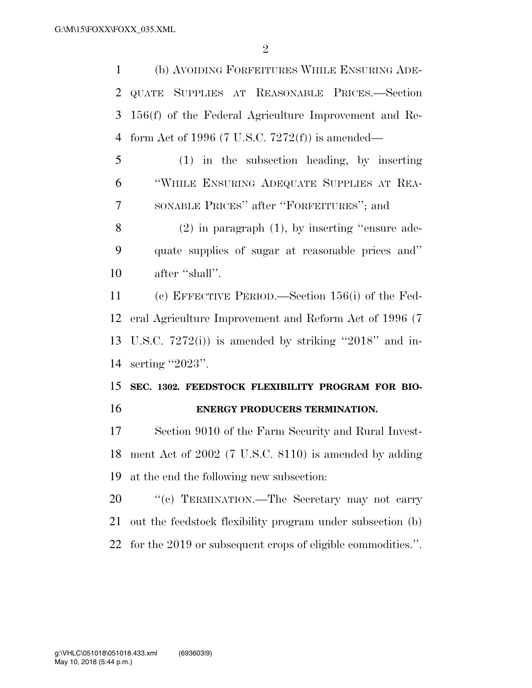(b) AVOIDING FORFEITURES WHILE ENSURING ADE- QUATE SUPPLIES AT REASONABLE PRICES.—Section 156(f) of the Federal Agriculture Improvement and Re-form Act of 1996 (7 U.S.C. 7272(f)) is amended—

 (1) in the subsection heading, by inserting ''WHILE ENSURING ADEQUATE SUPPLIES AT REA-SONABLE PRICES'' after ''FORFEITURES''; and

 (2) in paragraph (1), by inserting ''ensure ade- quate supplies of sugar at reasonable prices and'' after ''shall''.

 (c) EFFECTIVE PERIOD.—Section 156(i) of the Fed- eral Agriculture Improvement and Reform Act of 1996 (7 U.S.C. 7272(i)) is amended by striking ''2018'' and in-serting ''2023''.

### **SEC. 1302. FEEDSTOCK FLEXIBILITY PROGRAM FOR BIO-ENERGY PRODUCERS TERMINATION.**

 Section 9010 of the Farm Security and Rural Invest- ment Act of 2002 (7 U.S.C. 8110) is amended by adding at the end the following new subsection:

20 "'(c) TERMINATION.—The Secretary may not carry out the feedstock flexibility program under subsection (b) for the 2019 or subsequent crops of eligible commodities.''.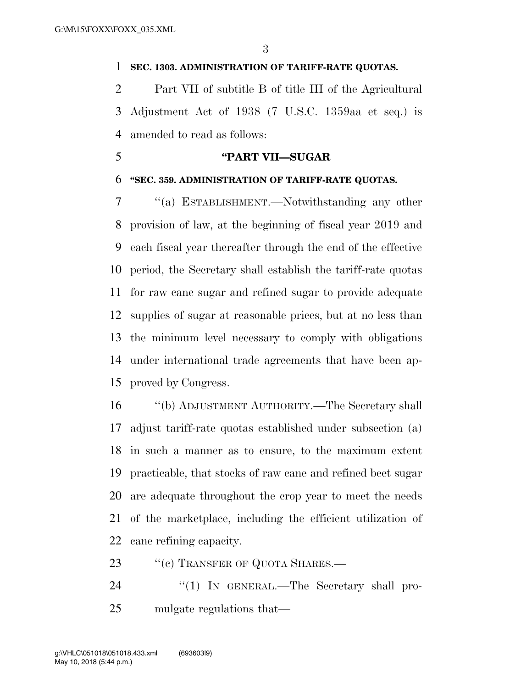#### **SEC. 1303. ADMINISTRATION OF TARIFF-RATE QUOTAS.**

 Part VII of subtitle B of title III of the Agricultural Adjustment Act of 1938 (7 U.S.C. 1359aa et seq.) is amended to read as follows:

### **''PART VII—SUGAR**

#### **''SEC. 359. ADMINISTRATION OF TARIFF-RATE QUOTAS.**

 ''(a) ESTABLISHMENT.—Notwithstanding any other provision of law, at the beginning of fiscal year 2019 and each fiscal year thereafter through the end of the effective period, the Secretary shall establish the tariff-rate quotas for raw cane sugar and refined sugar to provide adequate supplies of sugar at reasonable prices, but at no less than the minimum level necessary to comply with obligations under international trade agreements that have been ap-proved by Congress.

 ''(b) ADJUSTMENT AUTHORITY.—The Secretary shall adjust tariff-rate quotas established under subsection (a) in such a manner as to ensure, to the maximum extent practicable, that stocks of raw cane and refined beet sugar are adequate throughout the crop year to meet the needs of the marketplace, including the efficient utilization of cane refining capacity.

23 "(c) TRANSFER OF QUOTA SHARES.—

24 "(1) IN GENERAL.—The Secretary shall pro-mulgate regulations that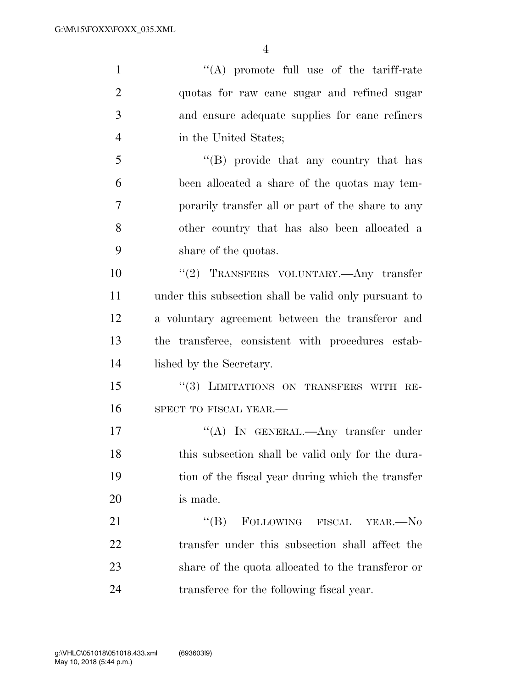''(A) promote full use of the tariff-rate quotas for raw cane sugar and refined sugar and ensure adequate supplies for cane refiners in the United States; ''(B) provide that any country that has been allocated a share of the quotas may tem- porarily transfer all or part of the share to any other country that has also been allocated a share of the quotas. ''(2) TRANSFERS VOLUNTARY.—Any transfer under this subsection shall be valid only pursuant to a voluntary agreement between the transferor and the transferee, consistent with procedures estab- lished by the Secretary. 15 "(3) LIMITATIONS ON TRANSFERS WITH RE-16 SPECT TO FISCAL YEAR.— 17 "'(A) In GENERAL.—Any transfer under 18 this subsection shall be valid only for the dura- tion of the fiscal year during which the transfer is made. 21 "(B) FOLLOWING FISCAL YEAR.—No transfer under this subsection shall affect the share of the quota allocated to the transferor or transferee for the following fiscal year.